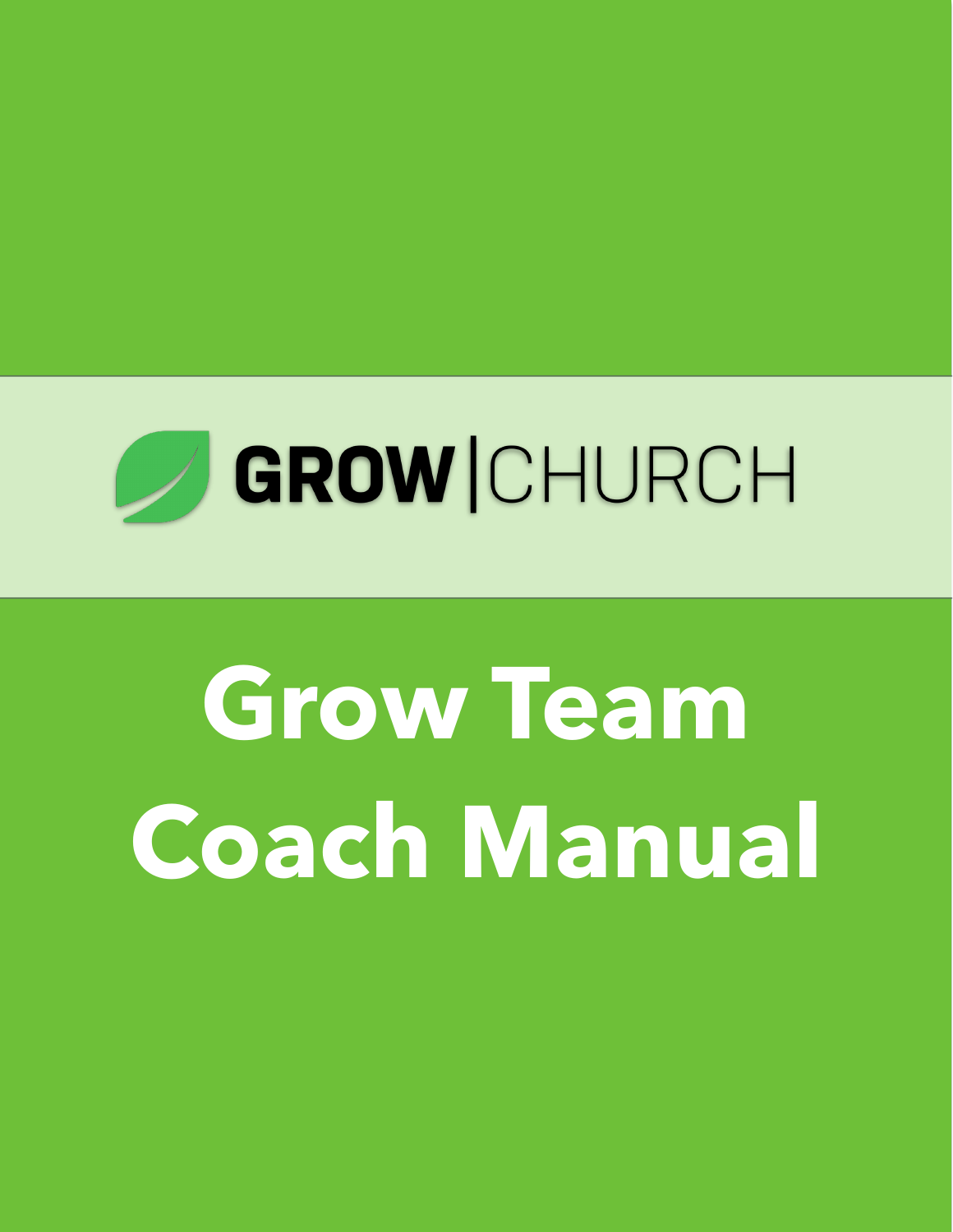

# **Grow Team Coach Manual**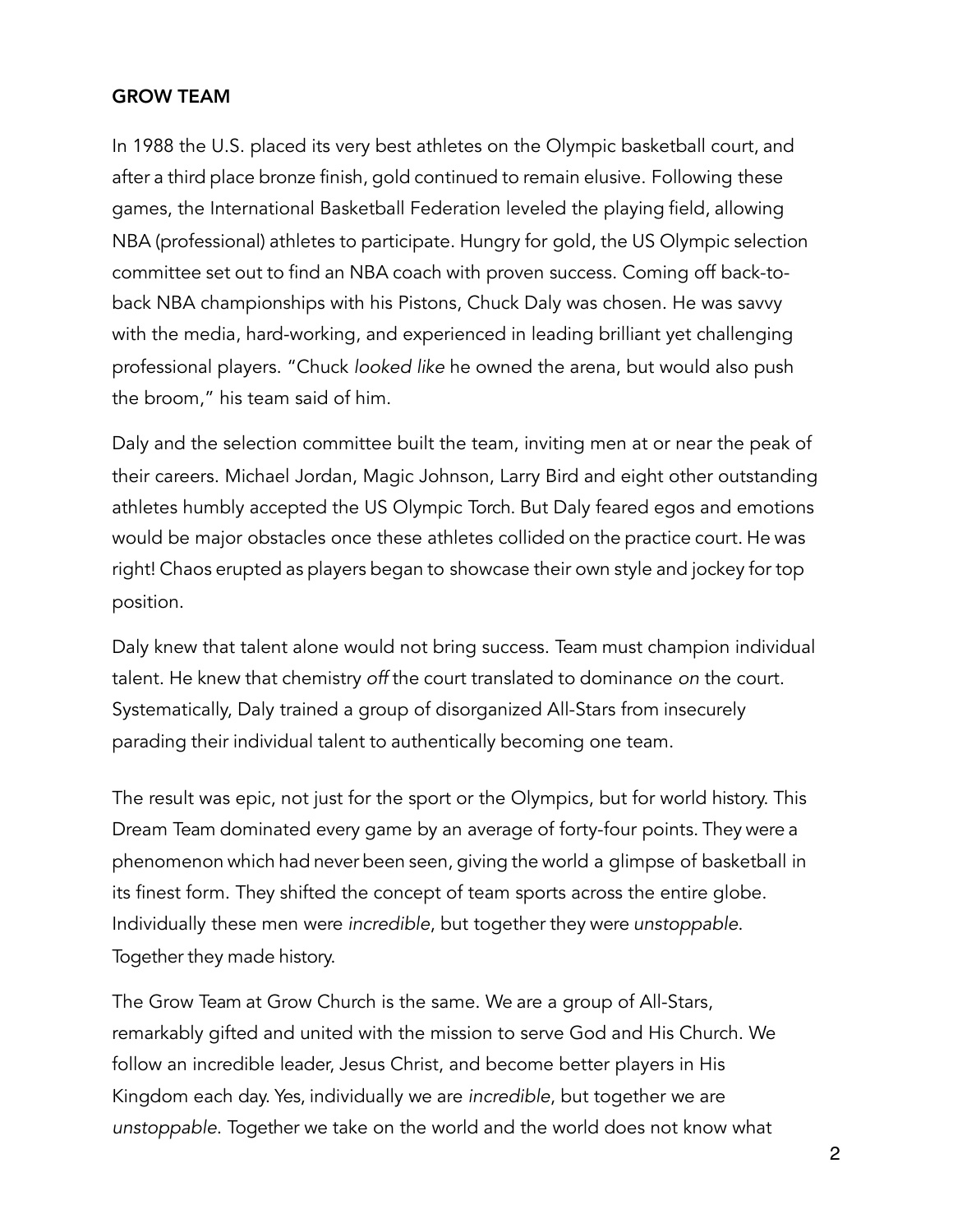#### GROW TEAM

In 1988 the U.S. placed its very best athletes on the Olympic basketball court, and after a third place bronze finish, gold continued to remain elusive. Following these games, the International Basketball Federation leveled the playing field, allowing NBA (professional) athletes to participate. Hungry for gold, the US Olympic selection committee set out to find an NBA coach with proven success. Coming off back-toback NBA championships with his Pistons, Chuck Daly was chosen. He was savvy with the media, hard-working, and experienced in leading brilliant yet challenging professional players. "Chuck *looked like* he owned the arena, but would also push the broom," his team said of him.

Daly and the selection committee built the team, inviting men at or near the peak of their careers. Michael Jordan, Magic Johnson, Larry Bird and eight other outstanding athletes humbly accepted the US Olympic Torch. But Daly feared egos and emotions would be major obstacles once these athletes collided on the practice court. He was right! Chaos erupted as players began to showcase their own style and jockey for top position.

Daly knew that talent alone would not bring success. Team must champion individual talent. He knew that chemistry *off* the court translated to dominance *on* the court. Systematically, Daly trained a group of disorganized All-Stars from insecurely parading their individual talent to authentically becoming one team.

The result was epic, not just for the sport or the Olympics, but for world history. This Dream Team dominated every game by an average of forty-four points. They were a phenomenon which had never been seen, giving the world a glimpse of basketball in its finest form. They shifted the concept of team sports across the entire globe. Individually these men were *incredible*, but together they were *unstoppable*. Together they made history.

The Grow Team at Grow Church is the same. We are a group of All-Stars, remarkably gifted and united with the mission to serve God and His Church. We follow an incredible leader, Jesus Christ, and become better players in His Kingdom each day. Yes, individually we are *incredible*, but together we are *unstoppable*. Together we take on the world and the world does not know what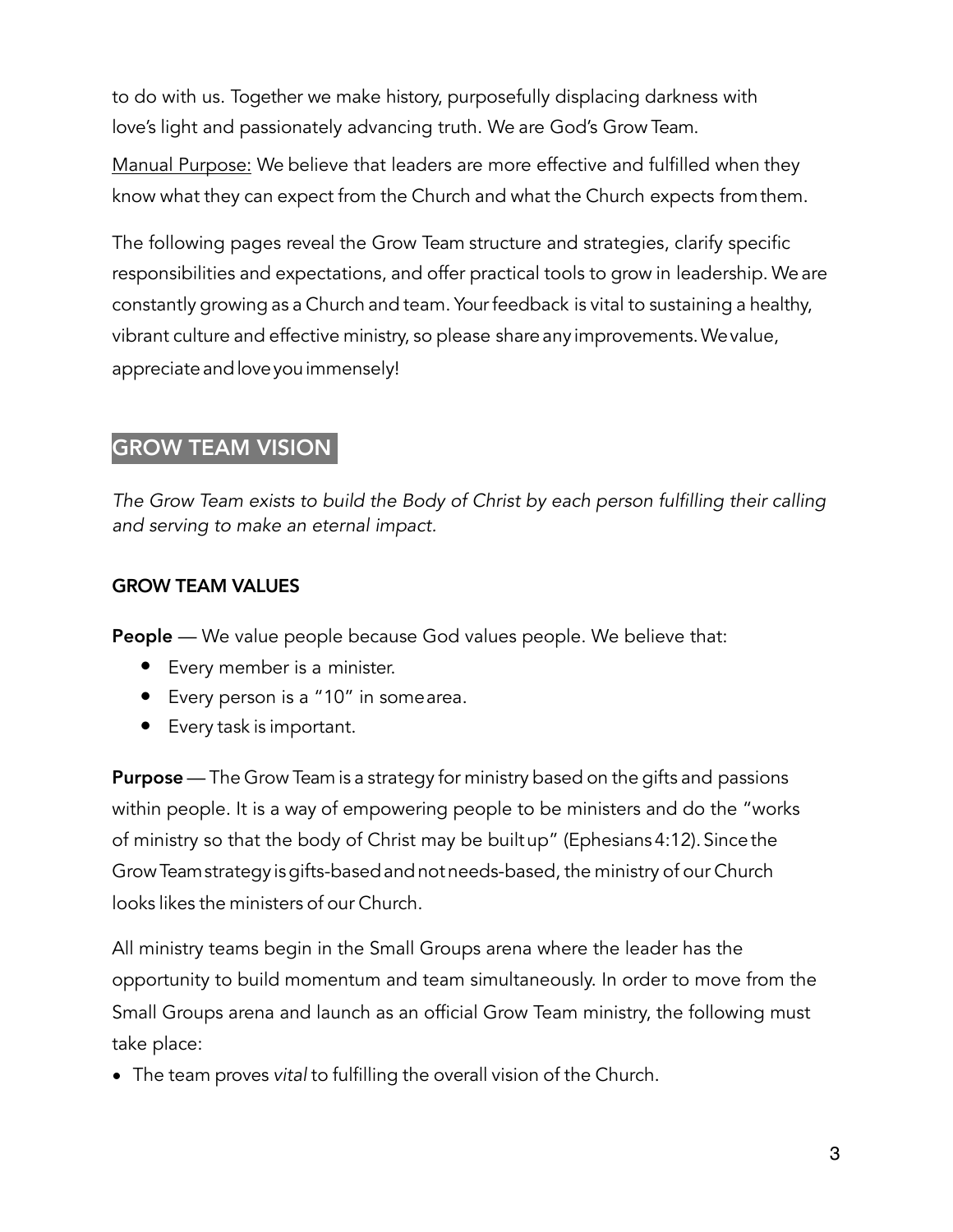to do with us. Together we make history, purposefully displacing darkness with love's light and passionately advancing truth. We are God's Grow Team.

Manual Purpose: We believe that leaders are more effective and fulfilled when they know what they can expect from the Church and what the Church expects fromthem.

The following pages reveal the Grow Team structure and strategies, clarify specific responsibilities and expectations, and offer practical tools to grow in leadership. We are constantly growing as a Church and team. Yourfeedback is vital to sustaining a healthy, vibrant culture and effective ministry, so please shareany improvements.Wevalue, appreciate and love you immensely!

# GROW TEAM VISION

*The Grow Team exists to build the Body of Christ by each person fulfilling their calling and serving to make an eternal impact.* 

# GROW TEAM VALUES

**People** — We value people because God values people. We believe that:

- Every member is a minister.
- Every person is a "10" in somearea.
- Every task is important.

**Purpose** — The Grow Team is a strategy for ministry based on the gifts and passions within people. It is a way of empowering people to be ministers and do the "works of ministry so that the body of Christ may be builtup" (Ephesians 4:12). Since the GrowTeamstrategy isgifts-basedandnotneeds-based, the ministry of our Church looks likes the ministers of our Church.

All ministry teams begin in the Small Groups arena where the leader has the opportunity to build momentum and team simultaneously. In order to move from the Small Groups arena and launch as an official Grow Team ministry, the following must take place:

• The team proves *vital* to fulfilling the overall vision of the Church.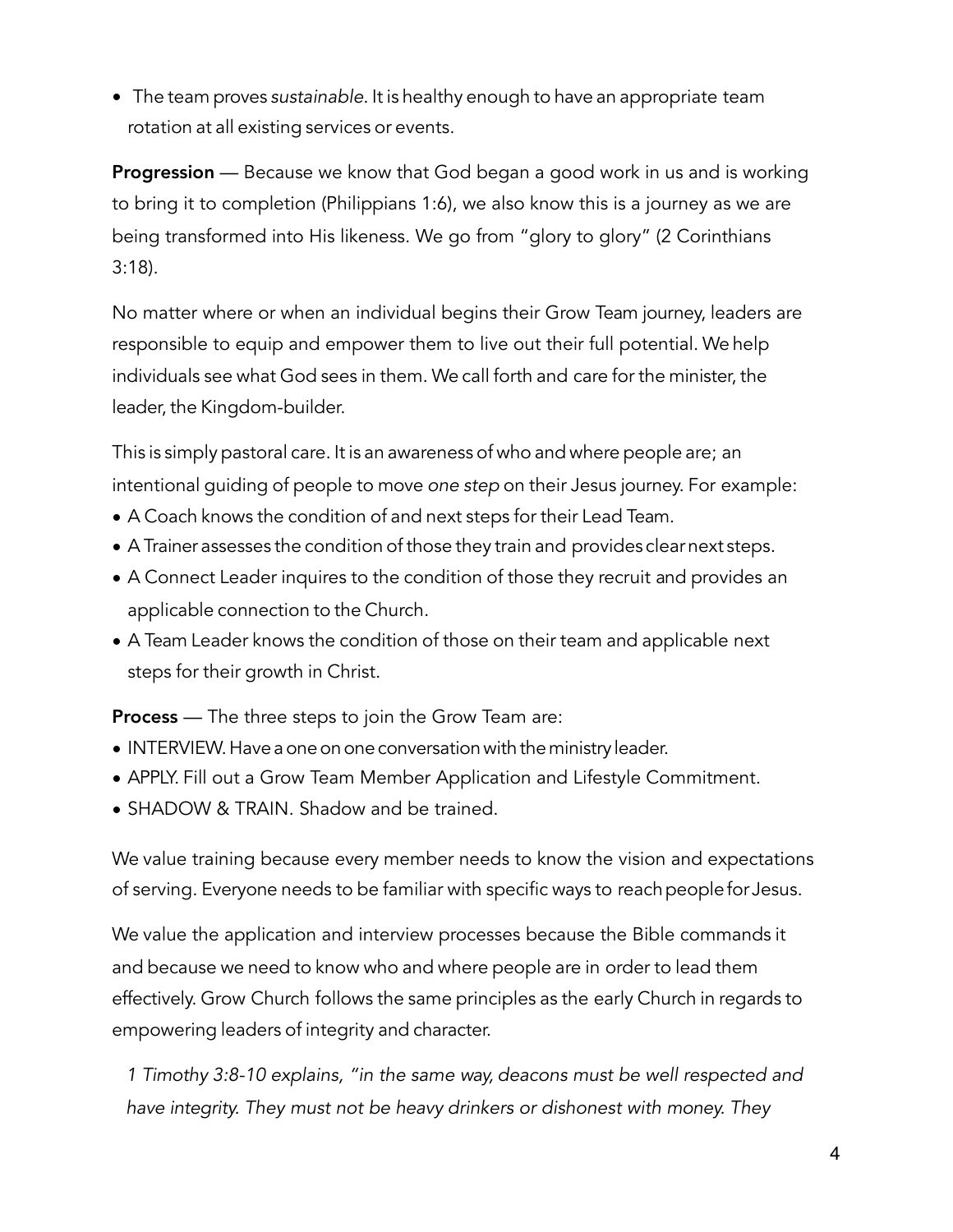• The team proves *sustainable*. It is healthy enough to have an appropriate team rotation at all existing services or events.

**Progression** — Because we know that God began a good work in us and is working to bring it to completion (Philippians 1:6), we also know this is a journey as we are being transformed into His likeness. We go from "glory to glory" (2 Corinthians 3:18).

No matter where or when an individual begins their Grow Team journey, leaders are responsible to equip and empower them to live out their full potential. We help individuals see what God sees in them. We call forth and care for the minister, the leader, the Kingdom-builder.

This is simply pastoral care. It is an awareness of who and where people are; an intentional guiding of people to move *one step* on their Jesus journey. For example:

- A Coach knows the condition of and next steps for their Lead Team.
- A Trainer assesses the condition of those they train and provides clearnext steps.
- A Connect Leader inquires to the condition of those they recruit and provides an applicable connection to the Church.
- A Team Leader knows the condition of those on their team and applicable next steps for their growth in Christ.

**Process** — The three steps to join the Grow Team are:

- INTERVIEW. Have a one on one conversation with the ministry leader.
- APPLY. Fill out a Grow Team Member Application and Lifestyle Commitment.
- SHADOW & TRAIN. Shadow and be trained.

We value training because every member needs to know the vision and expectations of serving. Everyone needs to be familiar with specific ways to reachpeoplefor Jesus.

We value the application and interview processes because the Bible commands it and because we need to know who and where people are in order to lead them effectively. Grow Church follows the same principles as the early Church in regards to empowering leaders of integrity and character.

*1 Timothy 3:8-10 explains, "in the same way, deacons must be well respected and have integrity. They must not be heavy drinkers or dishonest with money. They*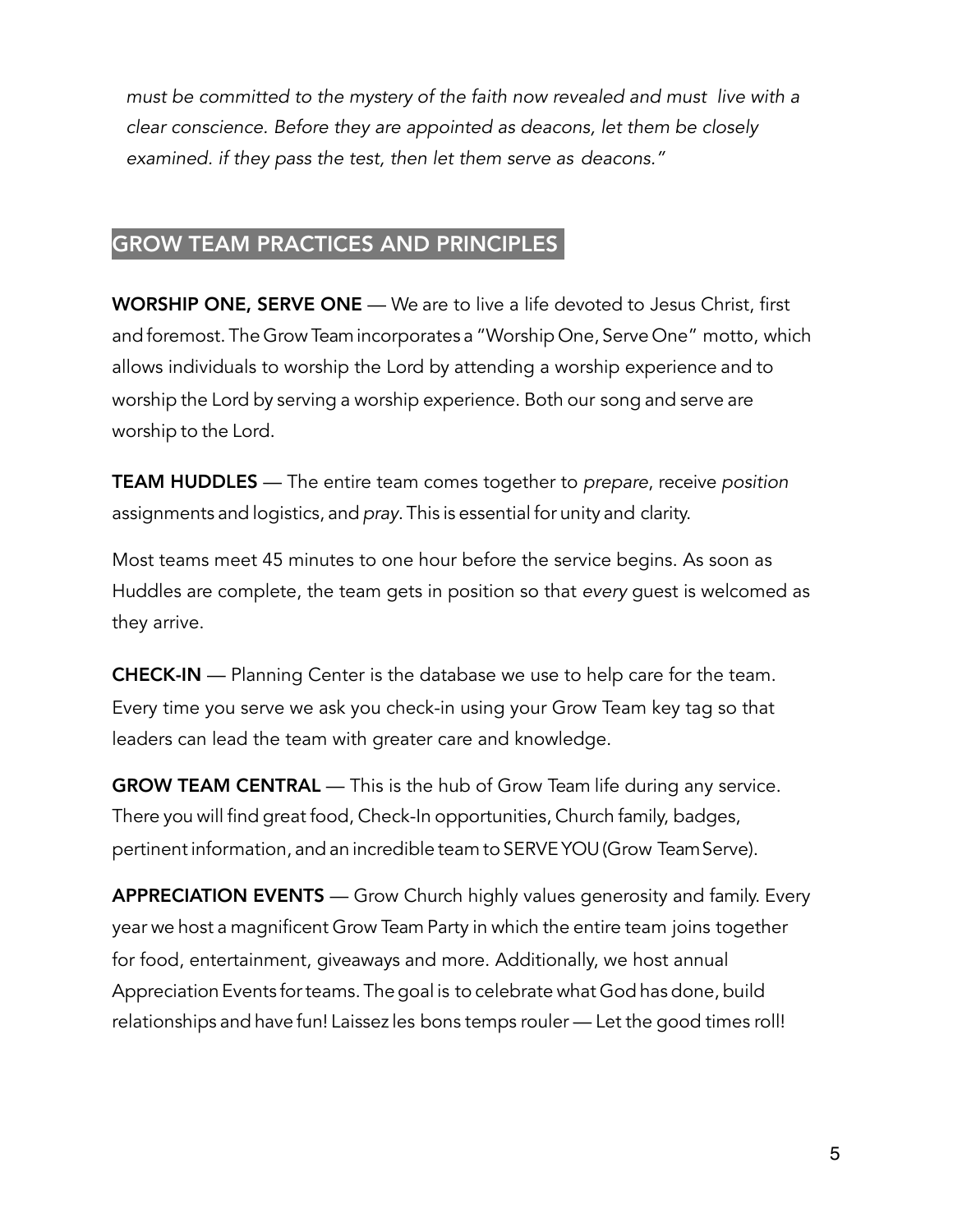*must be committed to the mystery of the faith now revealed and must live with a clear conscience. Before they are appointed as deacons, let them be closely examined. if they pass the test, then let them serve as deacons."* 

# GROW TEAM PRACTICES AND PRINCIPLES

WORSHIP ONE, SERVE ONE — We are to live a life devoted to Jesus Christ, first and foremost. The Grow Teamincorporates a "Worship One, Serve One" motto, which allows individuals to worship the Lord by attending a worship experience and to worship the Lord by serving a worship experience. Both our song and serve are worship to the Lord.

TEAM HUDDLES — The entire team comes together to *prepare*, receive *position* assignments and logistics, and *pray*. This is essential for unity and clarity.

Most teams meet 45 minutes to one hour before the service begins. As soon as Huddles are complete, the team gets in position so that *every* guest is welcomed as they arrive.

CHECK-IN — Planning Center is the database we use to help care for the team. Every time you serve we ask you check-in using your Grow Team key tag so that leaders can lead the team with greater care and knowledge.

GROW TEAM CENTRAL — This is the hub of Grow Team life during any service. There you will find great food, Check-In opportunities, Church family, badges, pertinentinformation, and an incredible team to SERVE YOU(Grow TeamServe).

APPRECIATION EVENTS — Grow Church highly values generosity and family. Every year we host a magnificent Grow Team Party in which the entire team joins together for food, entertainment, giveaways and more. Additionally, we host annual Appreciation Events forteams. Thegoal is to celebrate what God has done, build relationships and have fun! Laissez les bons temps rouler — Let the good times roll!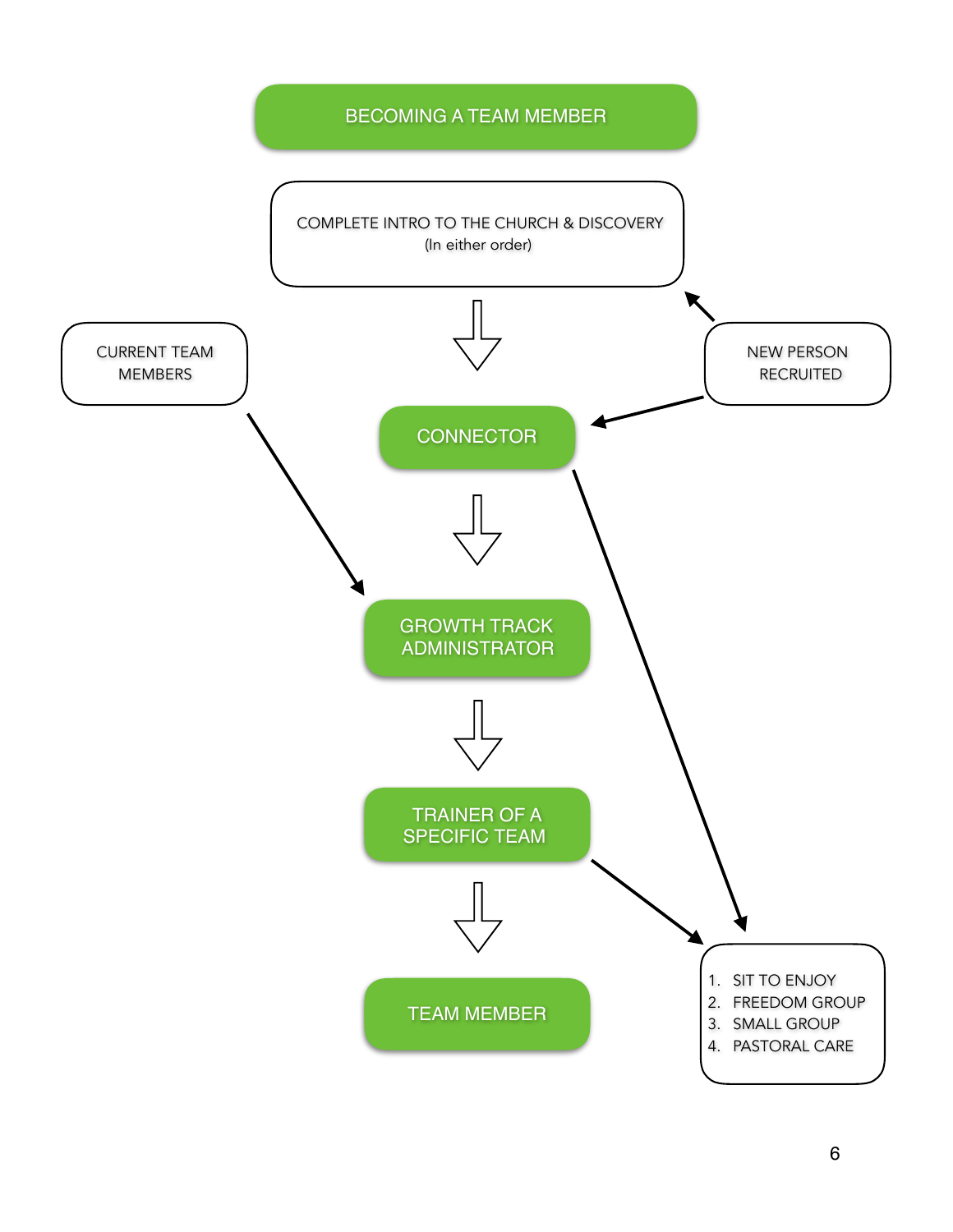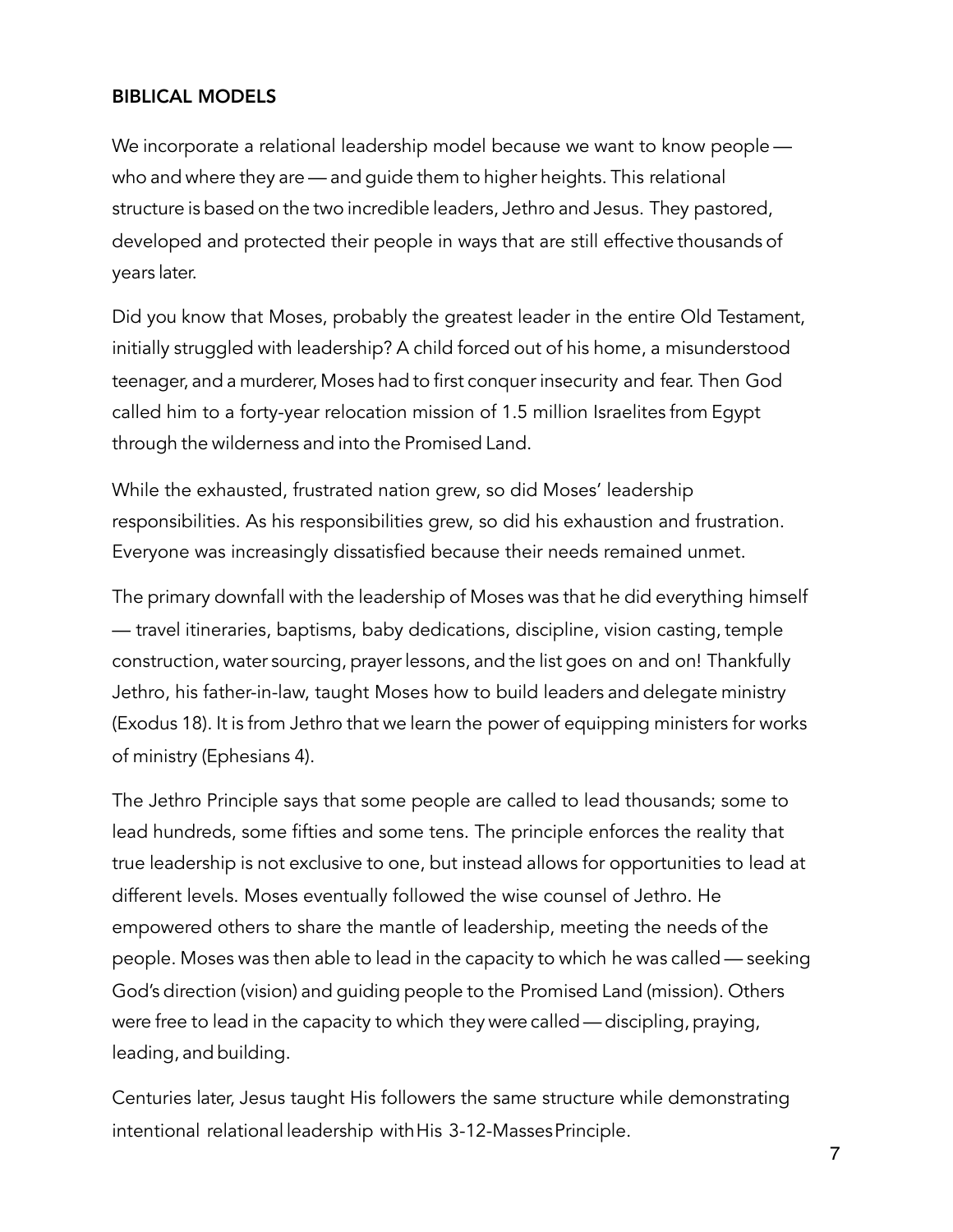#### BIBLICAL MODELS

We incorporate a relational leadership model because we want to know people who and where they are — and guide them to higher heights. This relational structure is based on the two incredible leaders, Jethro and Jesus. They pastored, developed and protected their people in ways that are still effective thousands of years later.

Did you know that Moses, probably the greatest leader in the entire Old Testament, initially struggled with leadership? A child forced out of his home, a misunderstood teenager, and a murderer, Moses had to first conquer insecurity and fear. Then God called him to a forty-year relocation mission of 1.5 million Israelites from Egypt through the wilderness and into the Promised Land.

While the exhausted, frustrated nation grew, so did Moses' leadership responsibilities. As his responsibilities grew, so did his exhaustion and frustration. Everyone was increasingly dissatisfied because their needs remained unmet.

The primary downfall with the leadership of Moses was that he did everything himself — travel itineraries, baptisms, baby dedications, discipline, vision casting, temple construction, water sourcing, prayer lessons, and the list goes on and on! Thankfully Jethro, his father-in-law, taught Moses how to build leaders and delegate ministry (Exodus 18). It is from Jethro that we learn the power of equipping ministers for works of ministry (Ephesians 4).

The Jethro Principle says that some people are called to lead thousands; some to lead hundreds, some fifties and some tens. The principle enforces the reality that true leadership is not exclusive to one, but instead allows for opportunities to lead at different levels. Moses eventually followed the wise counsel of Jethro. He empowered others to share the mantle of leadership, meeting the needs of the people. Moses was then able to lead in the capacity to which he was called — seeking God's direction (vision) and guiding people to the Promised Land (mission). Others were free to lead in the capacity to which they were called—discipling, praying, leading, and building.

Centuries later, Jesus taught His followers the same structure while demonstrating intentional relational leadership withHis 3-12-MassesPrinciple.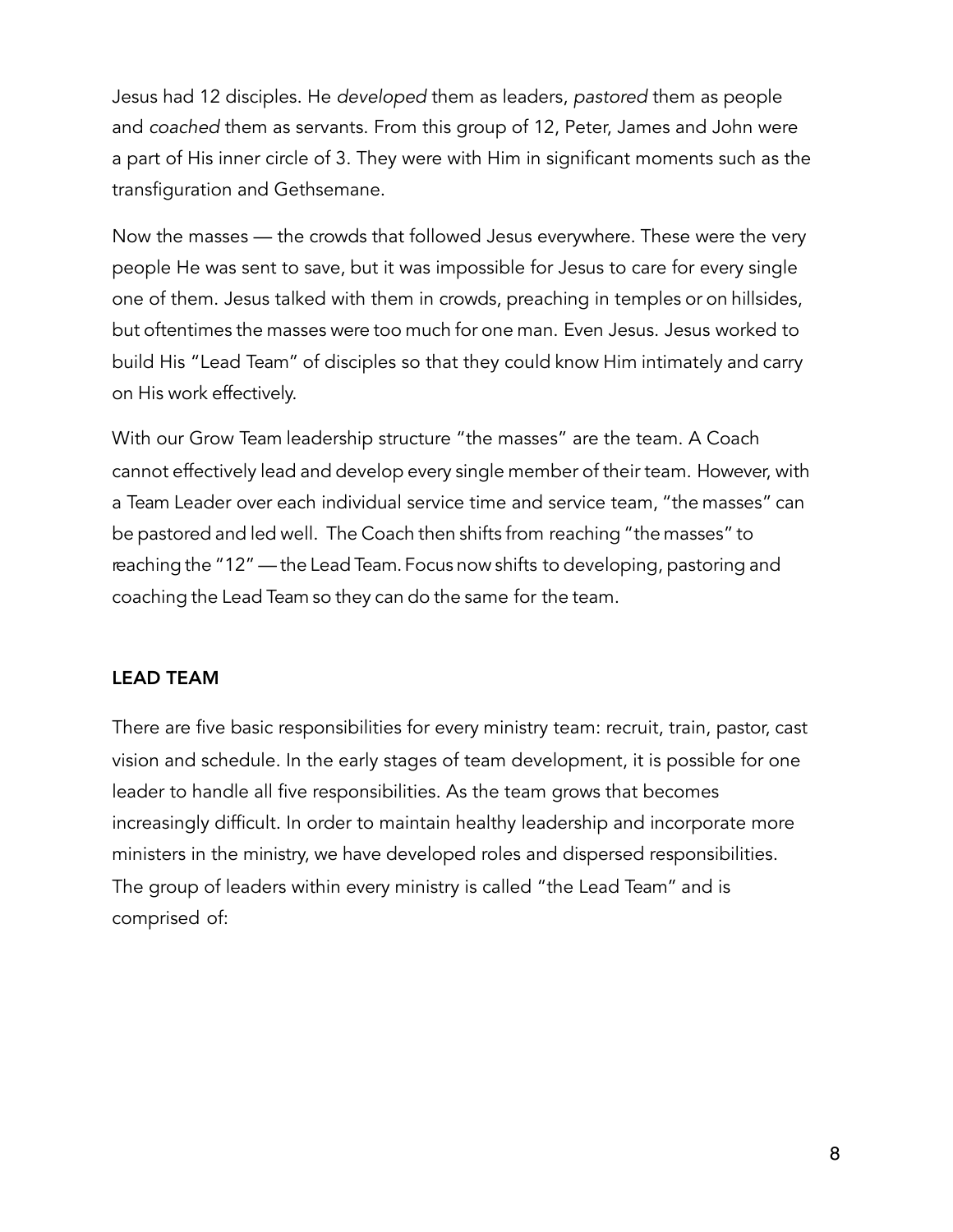Jesus had 12 disciples. He *developed* them as leaders, *pastored* them as people and *coached* them as servants. From this group of 12, Peter, James and John were a part of His inner circle of 3. They were with Him in significant moments such as the transfiguration and Gethsemane.

Now the masses — the crowds that followed Jesus everywhere. These were the very people He was sent to save, but it was impossible for Jesus to care for every single one of them. Jesus talked with them in crowds, preaching in temples or on hillsides, but oftentimes the masses were too much for one man. Even Jesus. Jesus worked to build His "Lead Team" of disciples so that they could know Him intimately and carry on His work effectively.

With our Grow Team leadership structure "the masses" are the team. A Coach cannot effectively lead and develop every single member of their team. However, with a Team Leader over each individual service time and service team, "the masses" can be pastored and led well. The Coach then shifts from reaching "the masses" to reaching the "12" — the Lead Team. Focus now shifts to developing, pastoring and coaching the Lead Team so they can do the same for the team.

#### LEAD TEAM

There are five basic responsibilities for every ministry team: recruit, train, pastor, cast vision and schedule. In the early stages of team development, it is possible for one leader to handle all five responsibilities. As the team grows that becomes increasingly difficult. In order to maintain healthy leadership and incorporate more ministers in the ministry, we have developed roles and dispersed responsibilities. The group of leaders within every ministry is called "the Lead Team" and is comprised of: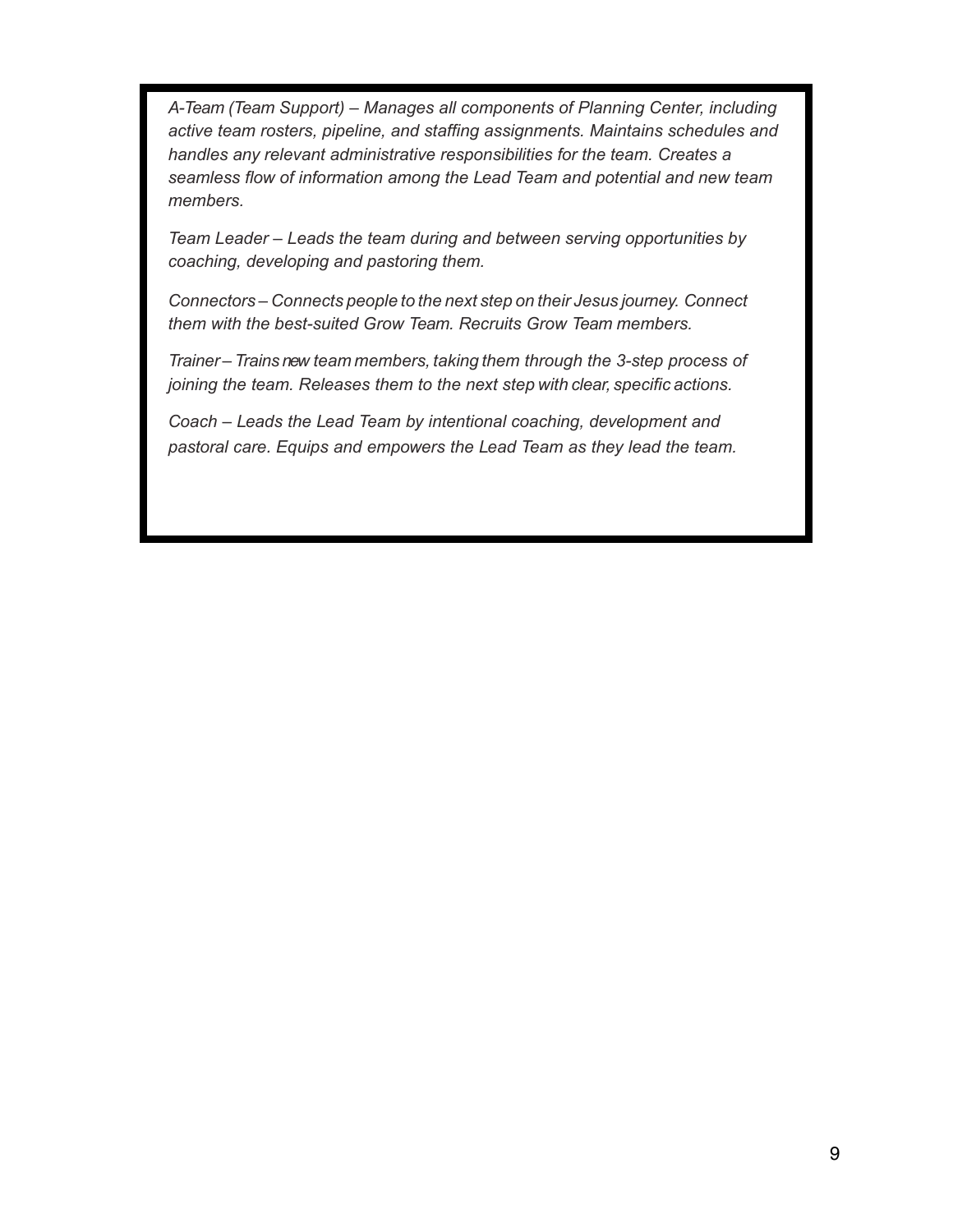*A-Team (Team Support) – Manages all components of Planning Center, including active team rosters, pipeline, and staffing assignments. Maintains schedules and handles any relevant administrative responsibilities for the team. Creates a seamless flow of information among the Lead Team and potential and new team members.*

*Team Leader – Leads the team during and between serving opportunities by coaching, developing and pastoring them.*

*Connectors – Connects people to the next step on their Jesus journey. Connect them with the best-suited Grow Team. Recruits Grow Team members.*

*Trainer – Trains new team members, taking them through the 3-step process of joining the team. Releases them to the next step with clear, specific actions.*

*Coach – Leads the Lead Team by intentional coaching, development and pastoral care. Equips and empowers the Lead Team as they lead the team.*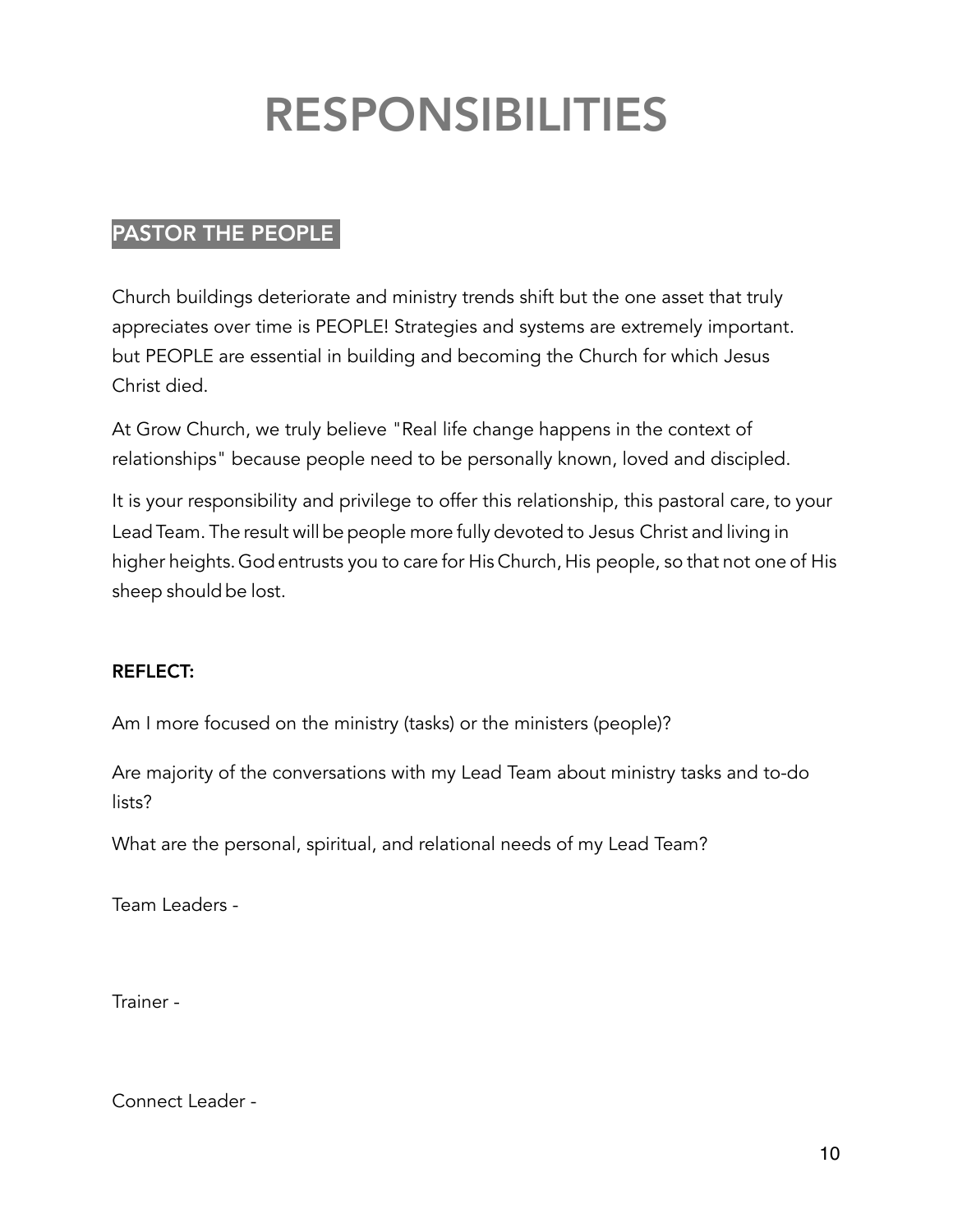# RESPONSIBILITIES

# PASTOR THE PEOPLE

Church buildings deteriorate and ministry trends shift but the one asset that truly appreciates over time is PEOPLE! Strategies and systems are extremely important. but PEOPLE are essential in building and becoming the Church for which Jesus Christ died.

At Grow Church, we truly believe "Real life change happens in the context of relationships" because people need to be personally known, loved and discipled.

It is your responsibility and privilege to offer this relationship, this pastoral care, to your Lead Team. The result will be people more fully devoted to Jesus Christ and living in higher heights.Godentrusts you to care for His Church, His people, so that not one of His sheep should be lost.

# REFLECT:

Am I more focused on the ministry (tasks) or the ministers (people)?

Are majority of the conversations with my Lead Team about ministry tasks and to-do lists?

What are the personal, spiritual, and relational needs of my Lead Team?

Team Leaders -

Trainer -

Connect Leader -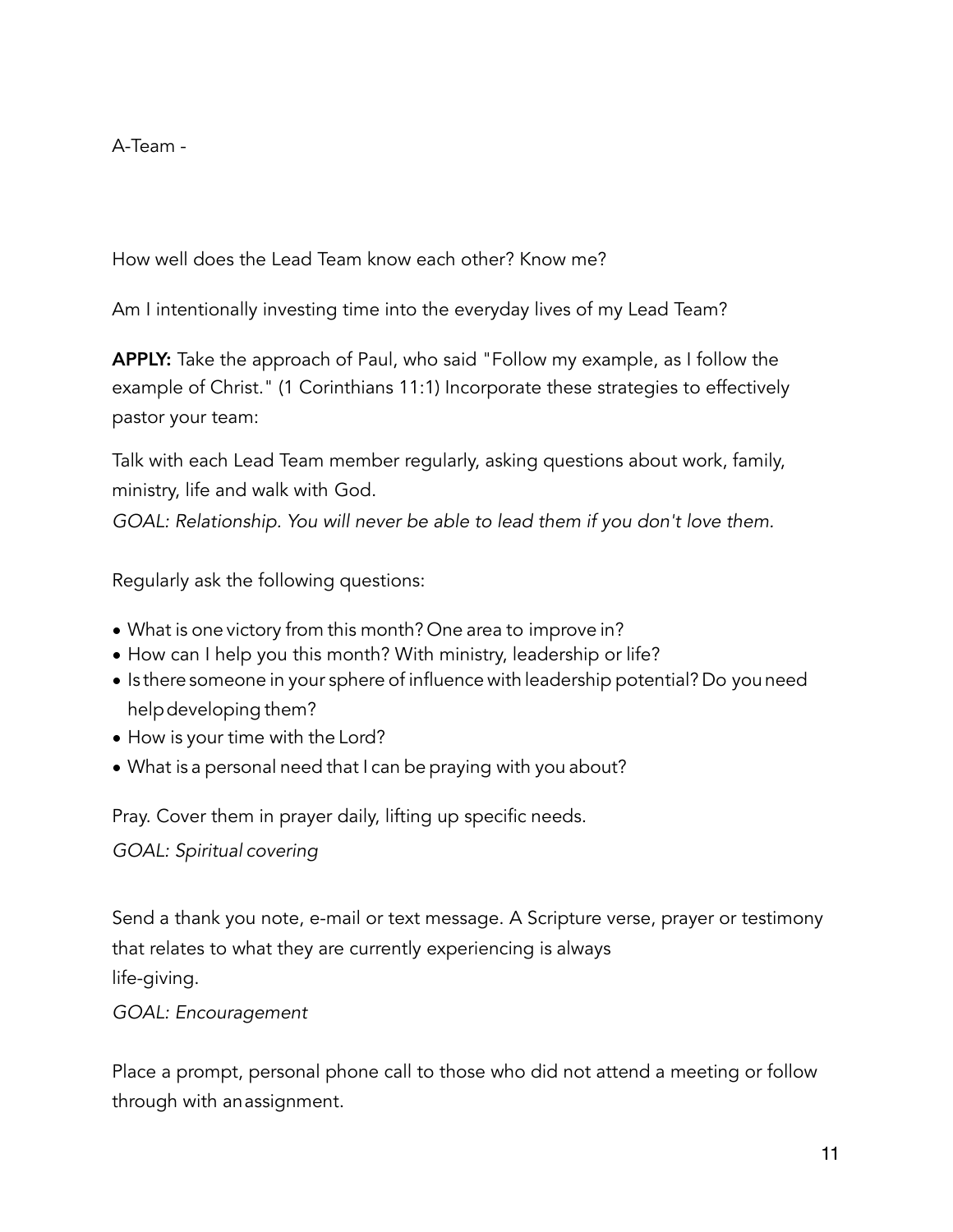A-Team -

How well does the Lead Team know each other? Know me?

Am I intentionally investing time into the everyday lives of my Lead Team?

APPLY: Take the approach of Paul, who said "Follow my example, as I follow the example of Christ." (1 Corinthians 11:1) Incorporate these strategies to effectively pastor your team:

Talk with each Lead Team member regularly, asking questions about work, family, ministry, life and walk with God.

*GOAL: Relationship. You will never be able to lead them if you don't love them.* 

Regularly ask the following questions:

- What is one victory from this month? One area to improve in?
- How can I help you this month? With ministry, leadership or life?
- Is there someone in your sphere of influence with leadership potential? Do you need helpdeveloping them?
- How is your time with the Lord?
- What is a personal need that I can be praying with you about?

Pray. Cover them in prayer daily, lifting up specific needs.

*GOAL: Spiritual covering* 

Send a thank you note, e-mail or text message. A Scripture verse, prayer or testimony that relates to what they are currently experiencing is always life-giving.

*GOAL: Encouragement* 

Place a prompt, personal phone call to those who did not attend a meeting or follow through with anassignment.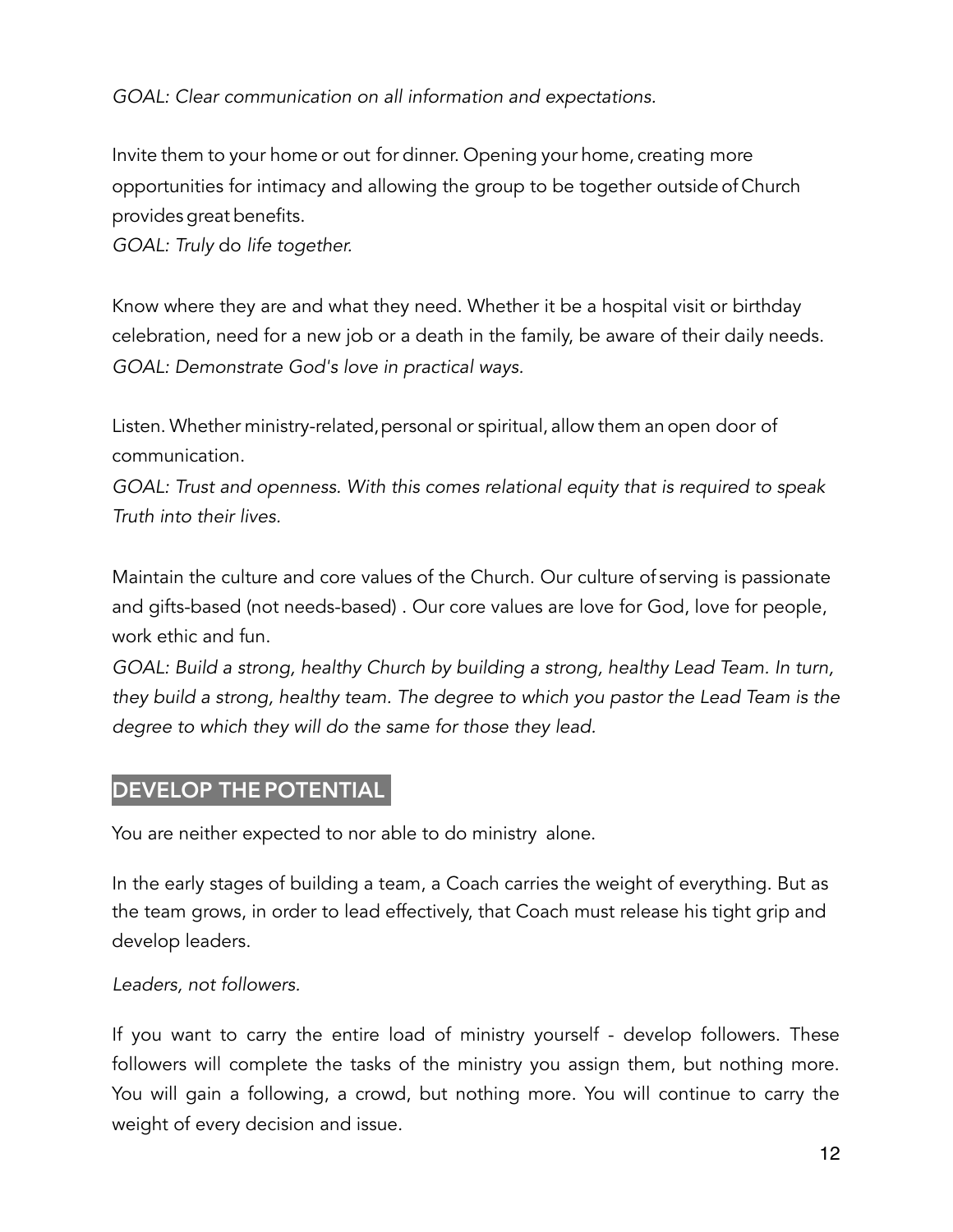# *GOAL: Clear communication on all information and expectations.*

Invite them to your home or out for dinner. Opening your home, creating more opportunities for intimacy and allowing the group to be together outside of Church provides great benefits.

*GOAL: Truly* do *life together.* 

Know where they are and what they need. Whether it be a hospital visit or birthday celebration, need for a new job or a death in the family, be aware of their daily needs. *GOAL: Demonstrate God's love in practical ways.* 

Listen. Whether ministry-related, personal or spiritual, allow them an open door of communication.

*GOAL: Trust and openness. With this comes relational equity that is required to speak Truth into their lives.* 

Maintain the culture and core values of the Church. Our culture of serving is passionate and gifts-based (not needs-based) . Our core values are love for God, love for people, work ethic and fun.

*GOAL: Build a strong, healthy Church by building a strong, healthy Lead Team. In turn, they build a strong, healthy team. The degree to which you pastor the Lead Team is the degree to which they will do the same for those they lead.* 

# DEVELOP THE POTENTIAL

You are neither expected to nor able to do ministry alone.

In the early stages of building a team, a Coach carries the weight of everything. But as the team grows, in order to lead effectively, that Coach must release his tight grip and develop leaders.

*Leaders, not followers.* 

If you want to carry the entire load of ministry yourself - develop followers. These followers will complete the tasks of the ministry you assign them, but nothing more. You will gain a following, a crowd, but nothing more. You will continue to carry the weight of every decision and issue.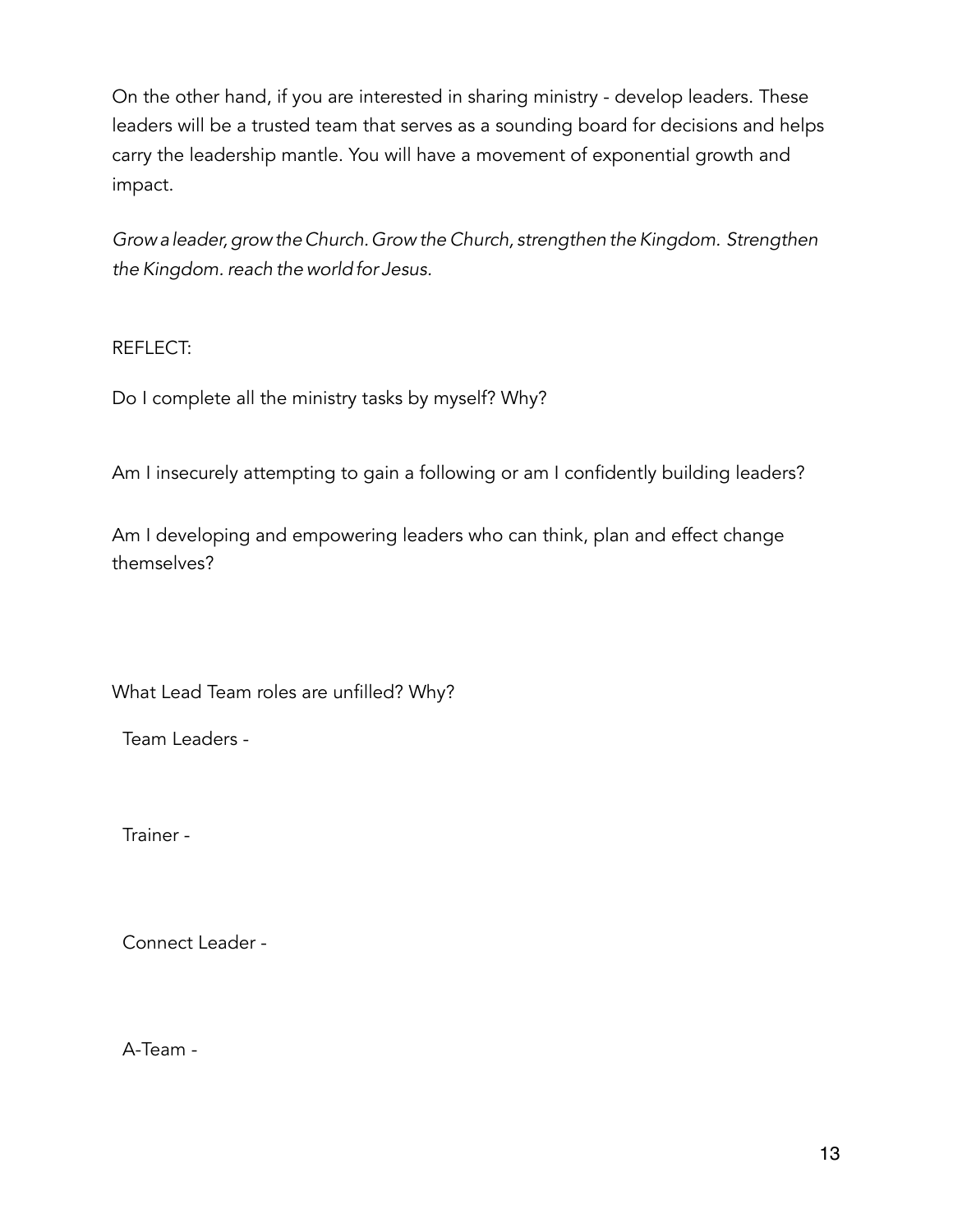On the other hand, if you are interested in sharing ministry - develop leaders. These leaders will be a trusted team that serves as a sounding board for decisions and helps carry the leadership mantle. You will have a movement of exponential growth and impact.

*Growa leader,grow theChurch.Grow the Church, strengthen theKingdom. Strengthen the Kingdom. reach the worldfor Jesus.* 

REFLECT:

Do I complete all the ministry tasks by myself? Why?

Am I insecurely attempting to gain a following or am I confidently building leaders?

Am I developing and empowering leaders who can think, plan and effect change themselves?

What Lead Team roles are unfilled? Why?

Team Leaders -

Trainer -

Connect Leader -

A-Team -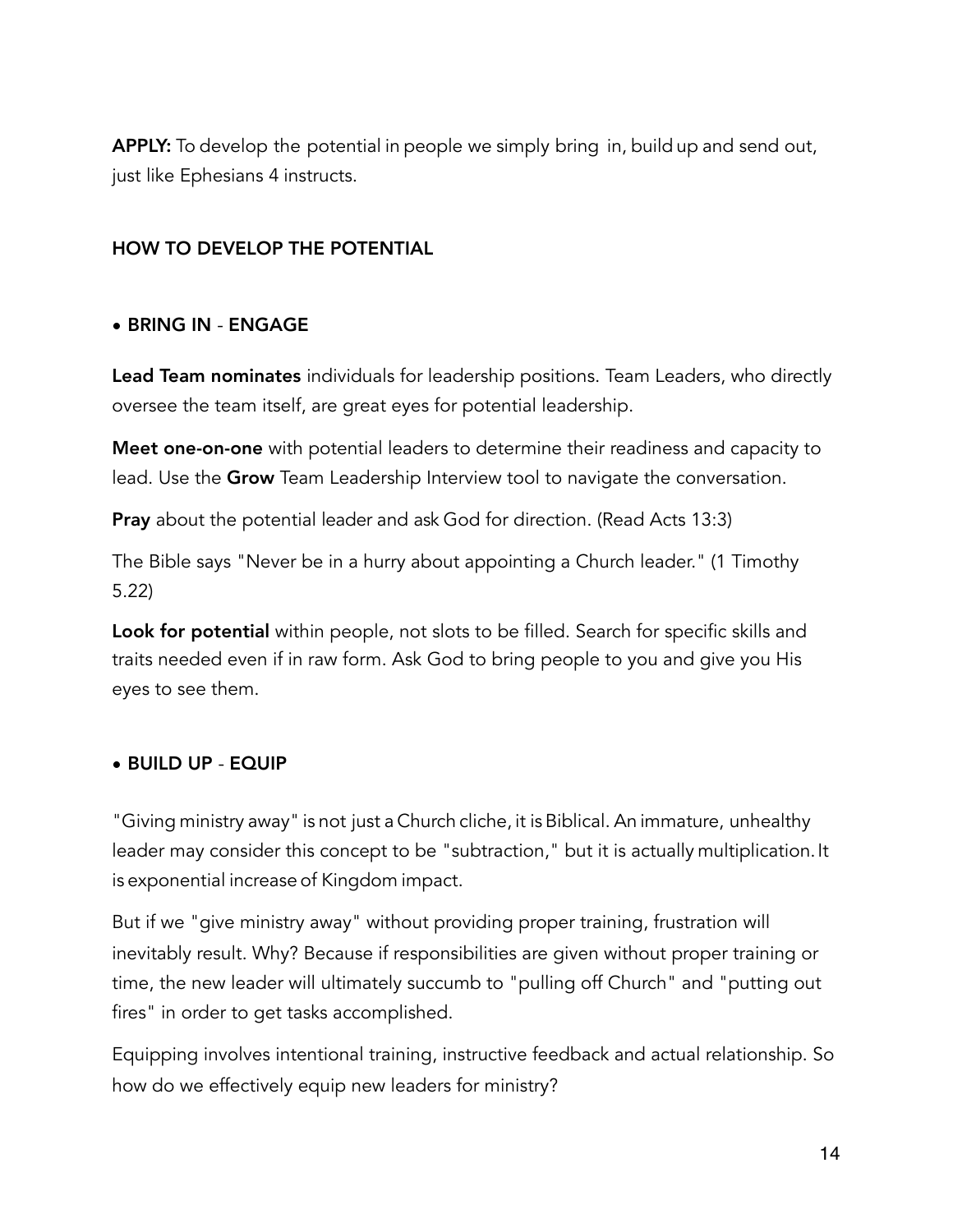APPLY: To develop the potential in people we simply bring in, build up and send out, just like Ephesians 4 instructs.

### HOW TO DEVELOP THE POTENTIAL

#### • BRING IN - ENGAGE

Lead Team nominates individuals for leadership positions. Team Leaders, who directly oversee the team itself, are great eyes for potential leadership.

Meet one-on-one with potential leaders to determine their readiness and capacity to lead. Use the Grow Team Leadership Interview tool to navigate the conversation.

**Pray** about the potential leader and ask God for direction. (Read Acts 13:3)

The Bible says "Never be in a hurry about appointing a Church leader." (1 Timothy 5.22)

Look for potential within people, not slots to be filled. Search for specific skills and traits needed even if in raw form. Ask God to bring people to you and give you His eyes to see them.

#### • BUILD UP - EQUIP

"Giving ministry away" is not just a Church cliche, it isBiblical. An immature, unhealthy leader may consider this concept to be "subtraction," but it is actually multiplication. It is exponential increase of Kingdom impact.

But if we "give ministry away" without providing proper training, frustration will inevitably result. Why? Because if responsibilities are given without proper training or time, the new leader will ultimately succumb to "pulling off Church" and "putting out fires" in order to get tasks accomplished.

Equipping involves intentional training, instructive feedback and actual relationship. So how do we effectively equip new leaders for ministry?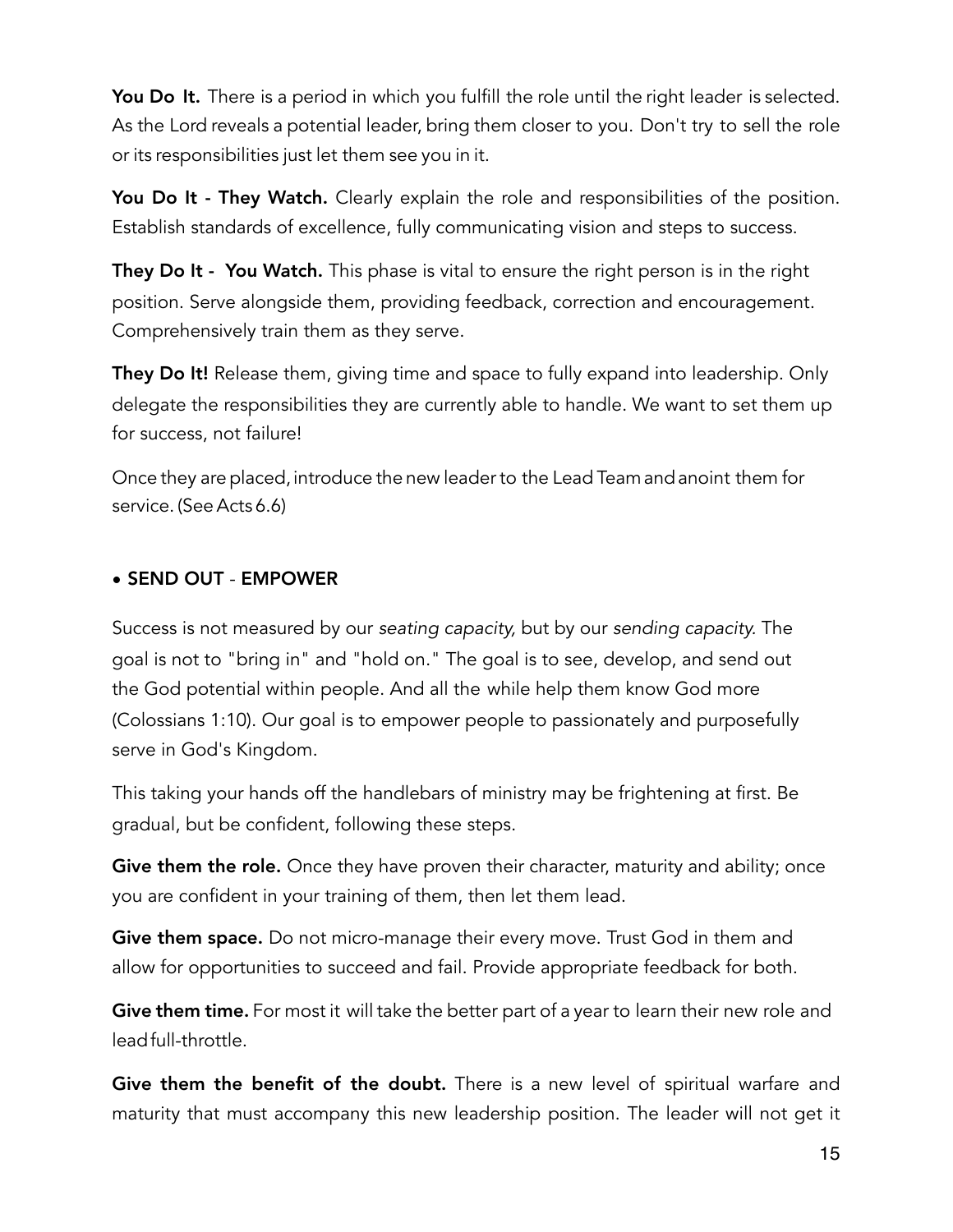You Do It. There is a period in which you fulfill the role until the right leader is selected. As the Lord reveals a potential leader, bring them closer to you. Don't try to sell the role or its responsibilities just let them see you in it.

You Do It - They Watch. Clearly explain the role and responsibilities of the position. Establish standards of excellence, fully communicating vision and steps to success.

**They Do It - You Watch.** This phase is vital to ensure the right person is in the right position. Serve alongside them, providing feedback, correction and encouragement. Comprehensively train them as they serve.

They Do It! Release them, giving time and space to fully expand into leadership. Only delegate the responsibilities they are currently able to handle. We want to set them up for success, not failure!

Once they are placed, introduce the new leader to the Lead Team and anoint them for service. (SeeActs 6.6)

#### • SEND OUT - EMPOWER

Success is not measured by our *seating capacity,* but by our *sending capacity.* The goal is not to "bring in" and "hold on." The goal is to see, develop, and send out the God potential within people. And all the while help them know God more (Colossians 1:10). Our goal is to empower people to passionately and purposefully serve in God's Kingdom.

This taking your hands off the handlebars of ministry may be frightening at first. Be gradual, but be confident, following these steps.

Give them the role. Once they have proven their character, maturity and ability; once you are confident in your training of them, then let them lead.

Give them space. Do not micro-manage their every move. Trust God in them and allow for opportunities to succeed and fail. Provide appropriate feedback for both.

Give them time. For most it will take the better part of a year to learn their new role and leadfull-throttle.

Give them the benefit of the doubt. There is a new level of spiritual warfare and maturity that must accompany this new leadership position. The leader will not get it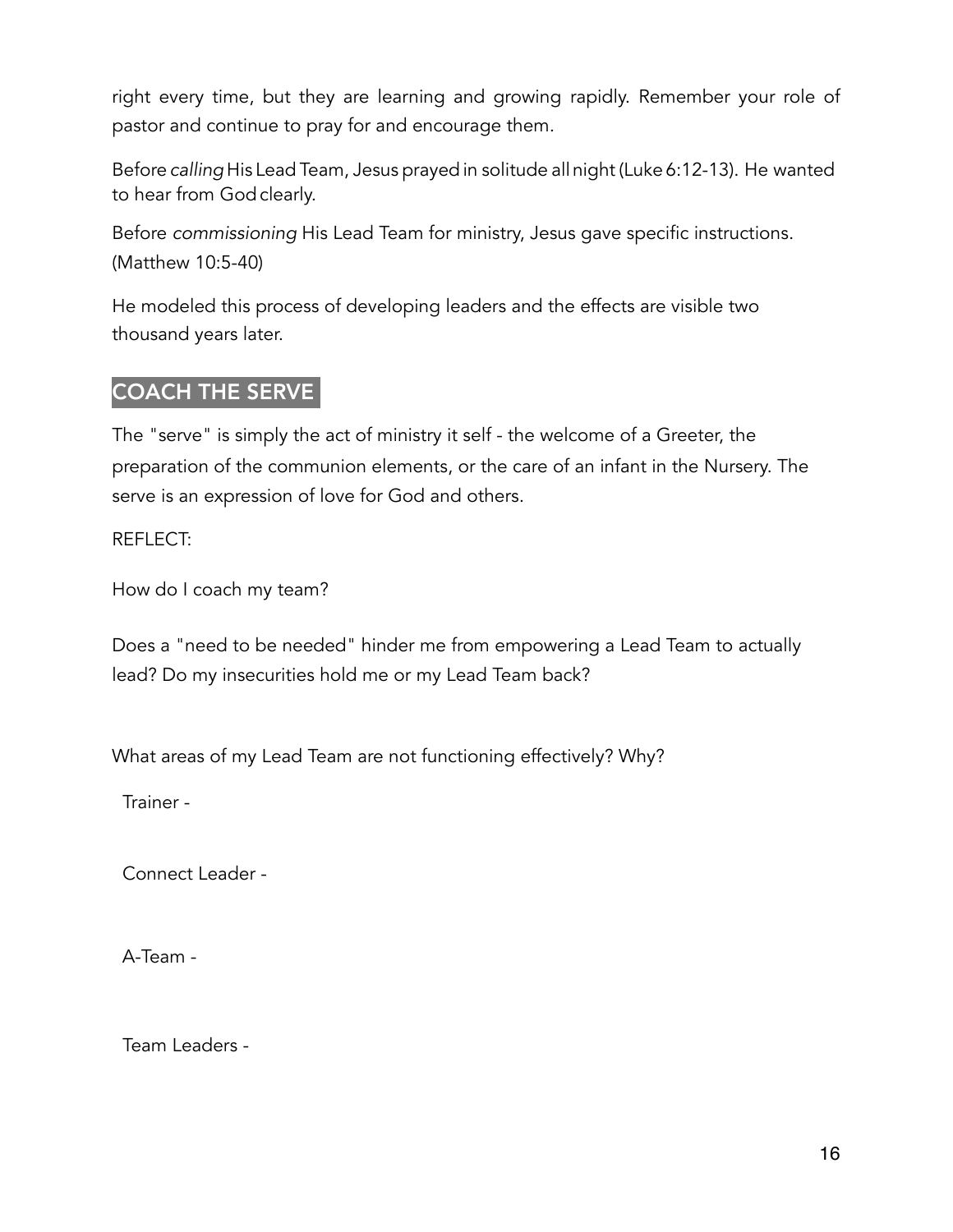right every time, but they are learning and growing rapidly. Remember your role of pastor and continue to pray for and encourage them.

Before *calling* His Lead Team, Jesus prayed in solitude allnight (Luke 6:12-13). He wanted to hear from God clearly.

Before *commissioning* His Lead Team for ministry, Jesus gave specific instructions. (Matthew 10:5-40)

He modeled this process of developing leaders and the effects are visible two thousand years later.

# COACH THE SERVE

The "serve" is simply the act of ministry it self - the welcome of a Greeter, the preparation of the communion elements, or the care of an infant in the Nursery. The serve is an expression of love for God and others.

REFLECT:

How do I coach my team?

Does a "need to be needed" hinder me from empowering a Lead Team to actually lead? Do my insecurities hold me or my Lead Team back?

What areas of my Lead Team are not functioning effectively? Why?

Trainer -

Connect Leader -

A-Team -

Team Leaders -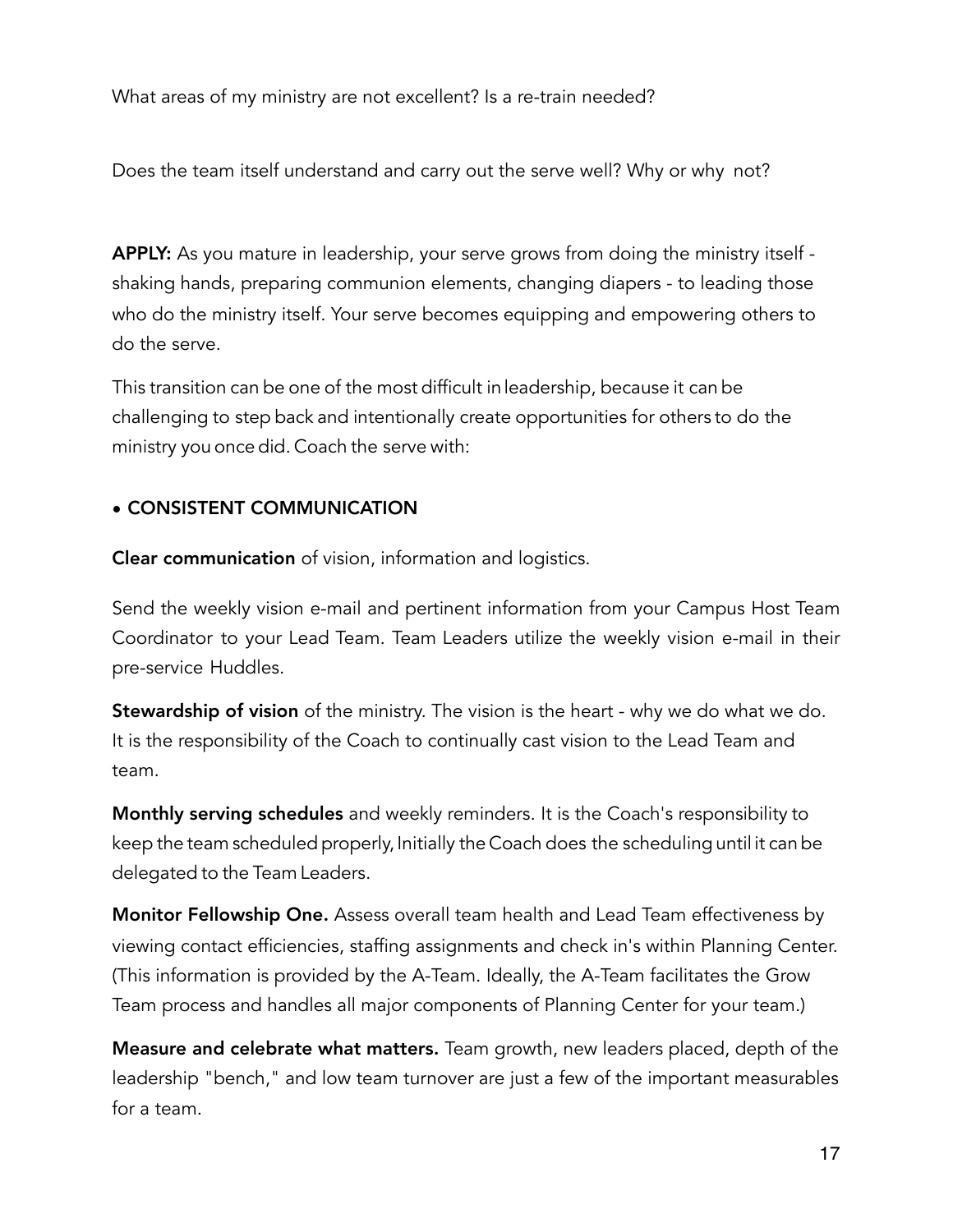What areas of my ministry are not excellent? Is a re-train needed?

Does the team itself understand and carry out the serve well? Why or why not?

APPLY: As you mature in leadership, your serve grows from doing the ministry itself shaking hands, preparing communion elements, changing diapers - to leading those who do the ministry itself. Your serve becomes equipping and empowering others to do the serve.

This transition can be one of the most difficult inleadership, because it can be challenging to step back and intentionally create opportunities for others to do the ministry you once did. Coach the serve with:

# • CONSISTENT COMMUNICATION

Clear communication of vision, information and logistics.

Send the weekly vision e-mail and pertinent information from your Campus Host Team Coordinator to your Lead Team. Team Leaders utilize the weekly vision e-mail in their pre-service Huddles.

**Stewardship of vision** of the ministry. The vision is the heart - why we do what we do. It is the responsibility of the Coach to continually cast vision to the Lead Team and team.

Monthly serving schedules and weekly reminders. It is the Coach's responsibility to keep the team scheduled properly, Initially the Coach does the scheduling until it can be delegated to the Team Leaders.

Monitor Fellowship One. Assess overall team health and Lead Team effectiveness by viewing contact efficiencies, staffing assignments and check in's within Planning Center. (This information is provided by the A-Team. Ideally, the A-Team facilitates the Grow Team process and handles all major components of Planning Center for your team.)

Measure and celebrate what matters. Team growth, new leaders placed, depth of the leadership "bench," and low team turnover are just a few of the important measurables for a team.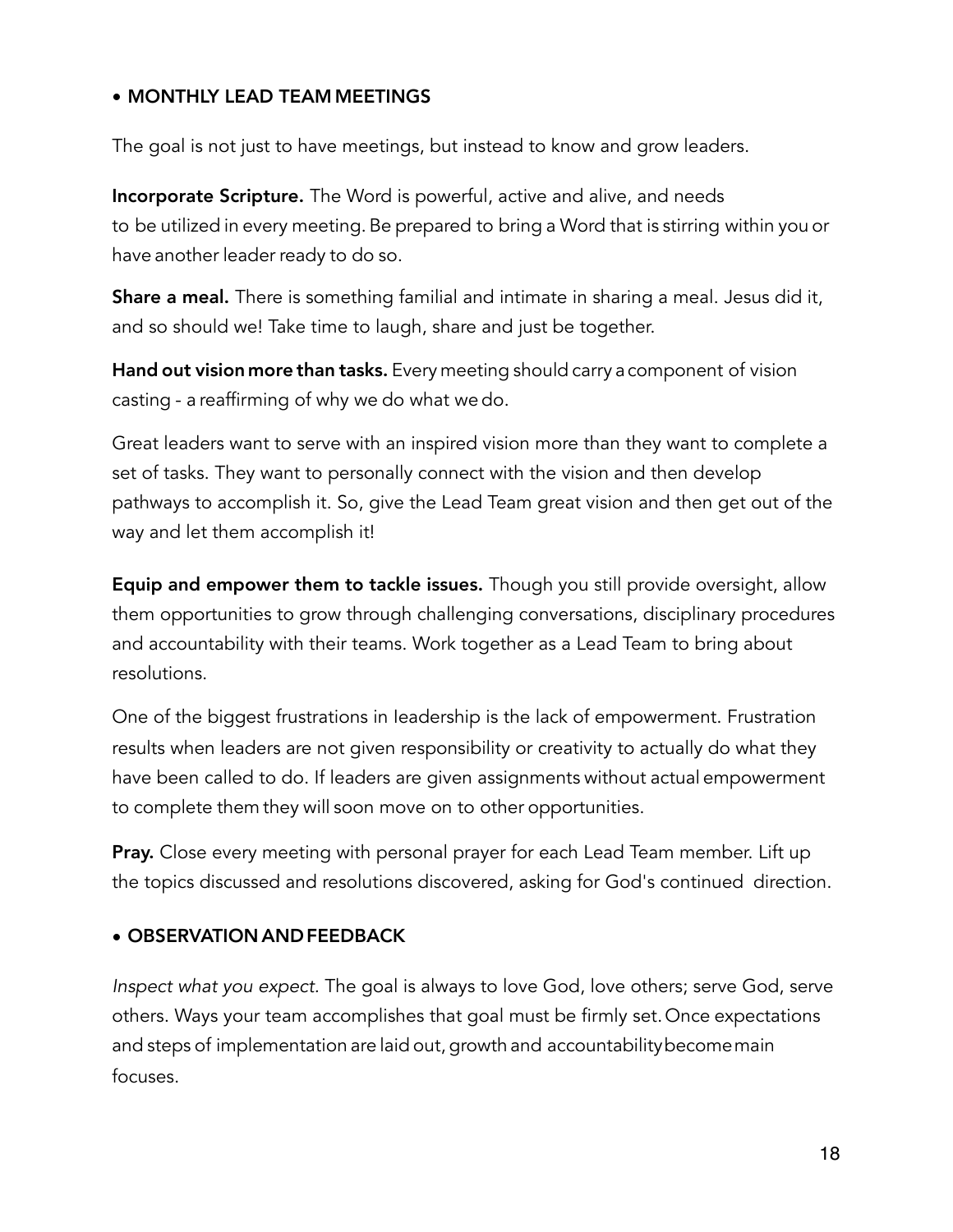# • MONTHLY LEAD TEAM MEETINGS

The goal is not just to have meetings, but instead to know and grow leaders.

Incorporate Scripture. The Word is powerful, active and alive, and needs to be utilized in every meeting. Be prepared to bring a Word that is stirring within you or have another leader ready to do so.

**Share a meal.** There is something familial and intimate in sharing a meal. Jesus did it, and so should we! Take time to laugh, share and just be together.

Hand out vision more than tasks. Every meeting should carry a component of vision casting - a reaffirming of why we do what we do.

Great leaders want to serve with an inspired vision more than they want to complete a set of tasks. They want to personally connect with the vision and then develop pathways to accomplish it. So, give the Lead Team great vision and then get out of the way and let them accomplish it!

Equip and empower them to tackle issues. Though you still provide oversight, allow them opportunities to grow through challenging conversations, disciplinary procedures and accountability with their teams. Work together as a Lead Team to bring about resolutions.

One of the biggest frustrations in Ieadership is the lack of empowerment. Frustration results when leaders are not given responsibility or creativity to actually do what they have been called to do. If leaders are given assignments without actual empowerment to complete them they will soon move on to other opportunities.

**Pray.** Close every meeting with personal prayer for each Lead Team member. Lift up the topics discussed and resolutions discovered, asking for God's continued direction.

# • OBSERVATION AND FEEDBACK

*Inspect what you expect.* The goal is always to love God, love others; serve God, serve others. Ways your team accomplishes that goal must be firmly set.Once expectations and steps of implementation are laid out, growth and accountabilitybecomemain focuses.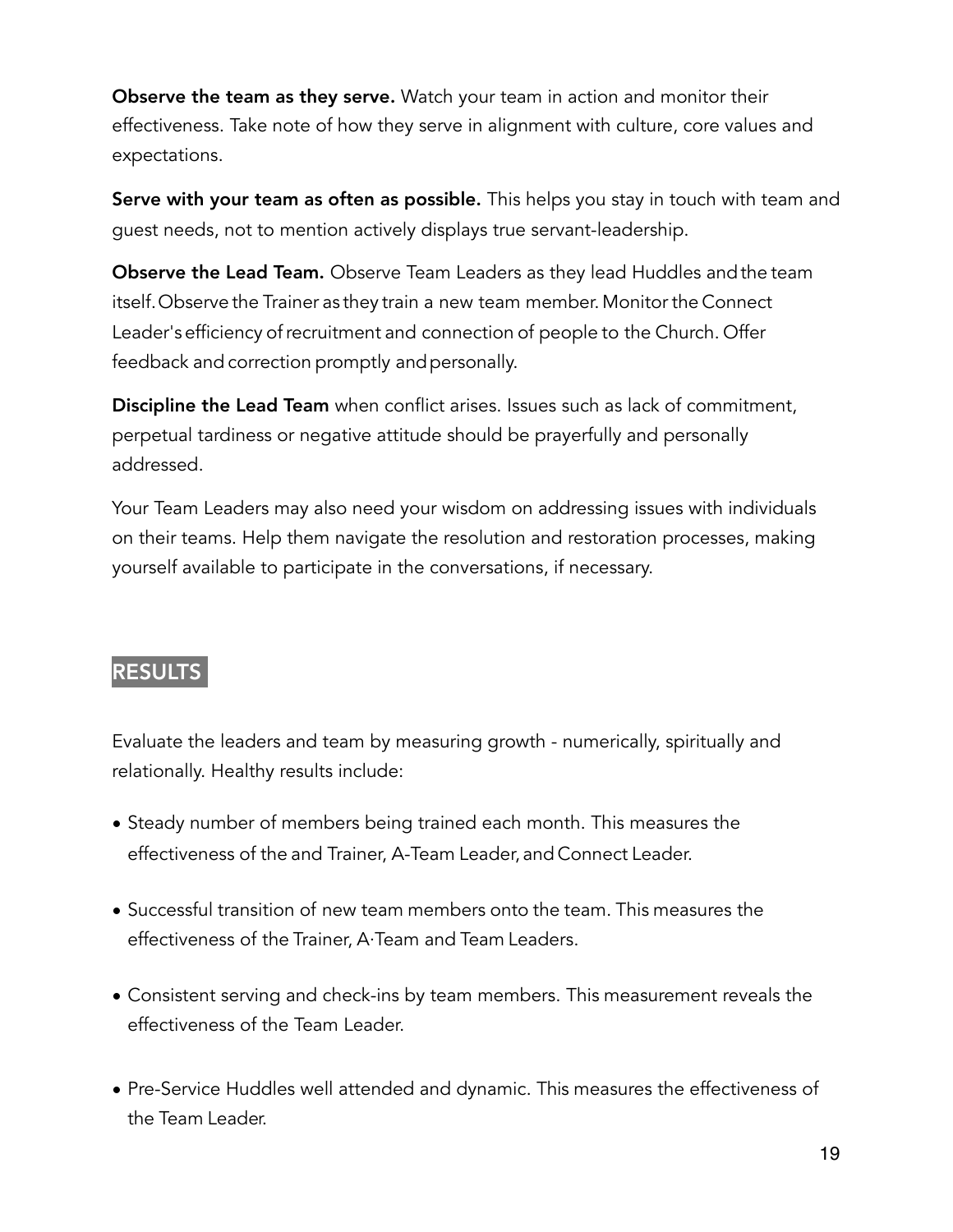Observe the team as they serve. Watch your team in action and monitor their effectiveness. Take note of how they serve in alignment with culture, core values and expectations.

Serve with your team as often as possible. This helps you stay in touch with team and guest needs, not to mention actively displays true servant-leadership.

**Observe the Lead Team.** Observe Team Leaders as they lead Huddles and the team itself.Observe the Trainer as they train a new team member. Monitor the Connect Leader's efficiency of recruitment and connection of people to the Church. Offer feedback and correction promptly and personally.

Discipline the Lead Team when conflict arises. Issues such as lack of commitment, perpetual tardiness or negative attitude should be prayerfully and personally addressed.

Your Team Leaders may also need your wisdom on addressing issues with individuals on their teams. Help them navigate the resolution and restoration processes, making yourself available to participate in the conversations, if necessary.

# RESULTS

Evaluate the leaders and team by measuring growth - numerically, spiritually and relationally. Healthy results include:

- Steady number of members being trained each month. This measures the effectiveness of the and Trainer, A-Team Leader, and Connect Leader.
- Successful transition of new team members onto the team. This measures the effectiveness of the Trainer, A·Team and Team Leaders.
- Consistent serving and check-ins by team members. This measurement reveals the effectiveness of the Team Leader.
- Pre-Service Huddles well attended and dynamic. This measures the effectiveness of the Team Leader.